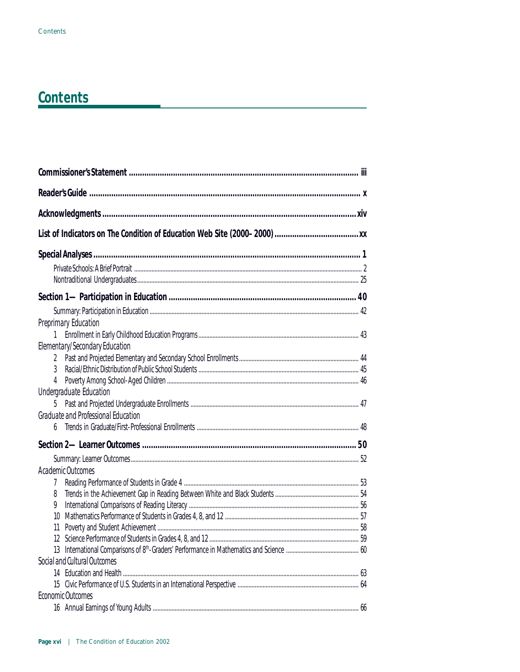| Preprimary Education<br>Elementary/Secondary Education |  |
|--------------------------------------------------------|--|
| 2                                                      |  |
| 3                                                      |  |
| 4                                                      |  |
| Undergraduate Education                                |  |
|                                                        |  |
| Graduate and Professional Education                    |  |
|                                                        |  |
|                                                        |  |
|                                                        |  |
| Academic Outcomes                                      |  |
| 7                                                      |  |
| 8                                                      |  |
| 9                                                      |  |
| 10                                                     |  |
| 11                                                     |  |
|                                                        |  |
|                                                        |  |
| Social and Cultural Outcomes                           |  |
|                                                        |  |
|                                                        |  |
| Economic Outcomes                                      |  |
|                                                        |  |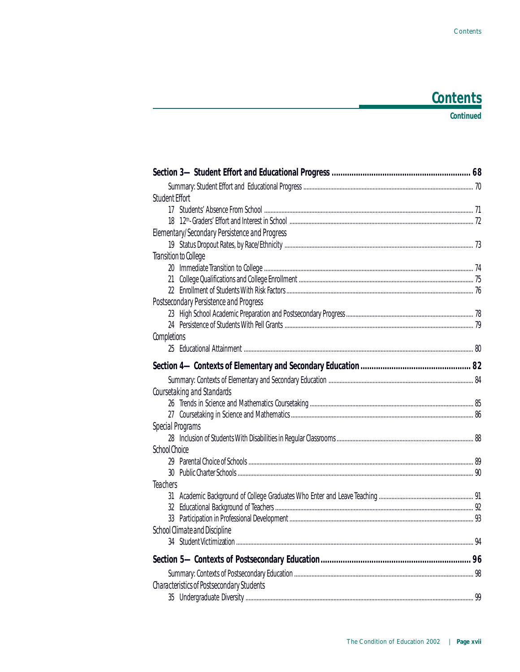#### **Continued**

| Student Effort                                |  |
|-----------------------------------------------|--|
|                                               |  |
|                                               |  |
| Elementary/Secondary Persistence and Progress |  |
|                                               |  |
| Transition to College                         |  |
|                                               |  |
|                                               |  |
|                                               |  |
| Postsecondary Persistence and Progress        |  |
|                                               |  |
|                                               |  |
| Completions                                   |  |
|                                               |  |
|                                               |  |
|                                               |  |
| Coursetaking and Standards                    |  |
|                                               |  |
|                                               |  |
| Special Programs                              |  |
|                                               |  |
| School Choice                                 |  |
|                                               |  |
|                                               |  |
| <b>Teachers</b>                               |  |
|                                               |  |
|                                               |  |
|                                               |  |
| School Climate and Discipline                 |  |
|                                               |  |
|                                               |  |
|                                               |  |
| Characteristics of Postsecondary Students     |  |
|                                               |  |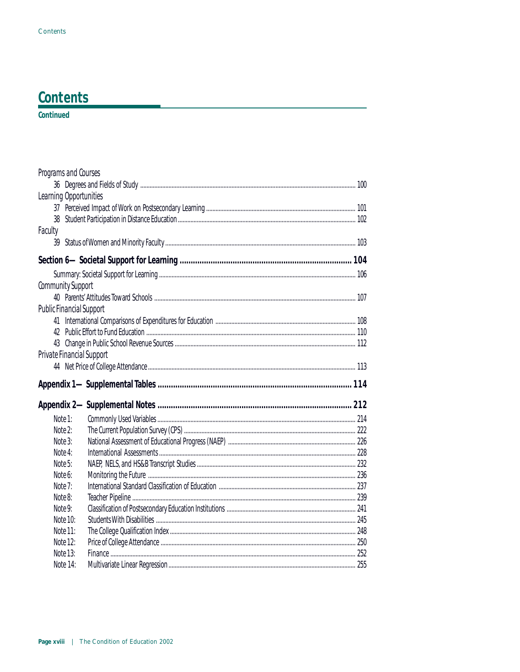#### Continued

| Programs and Courses            |  |
|---------------------------------|--|
|                                 |  |
| Learning Opportunities          |  |
|                                 |  |
|                                 |  |
| Faculty                         |  |
|                                 |  |
|                                 |  |
|                                 |  |
| Community Support               |  |
|                                 |  |
| <b>Public Financial Support</b> |  |
|                                 |  |
|                                 |  |
|                                 |  |
| Private Financial Support       |  |
|                                 |  |
|                                 |  |
|                                 |  |
|                                 |  |
| Note 1:                         |  |
| Note 2:                         |  |
| Note 3:                         |  |
| Note 4:                         |  |
| Note 5:                         |  |
| Note 6:                         |  |
| Note 7:<br>Note 8:              |  |
| Note 9:                         |  |
| Note 10:                        |  |
| Note 11:                        |  |
| Note 12:                        |  |
| Note 13:                        |  |
|                                 |  |
| Note 14:                        |  |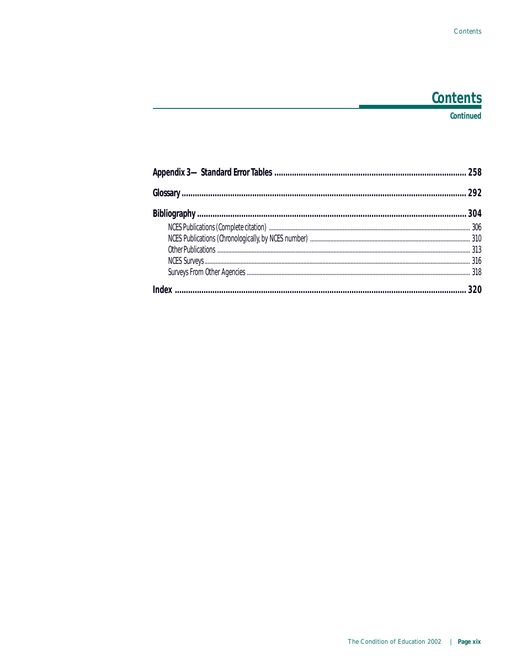#### **Continued**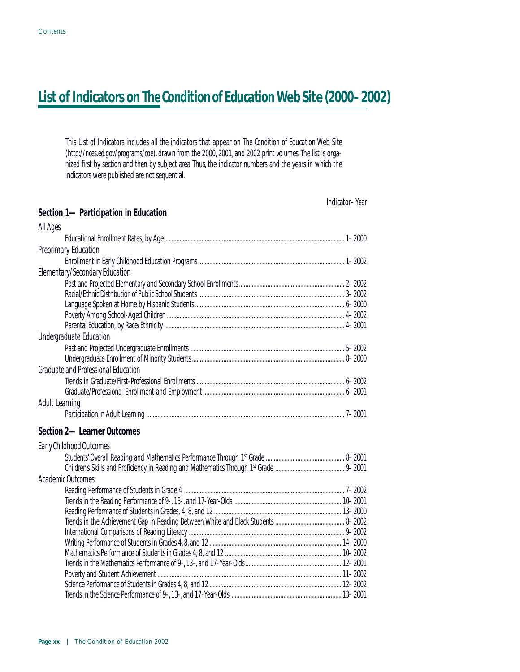This List of Indicators includes all the indicators that appear on *The Condition of Education* Web Site (*http://nces.ed.gov/programs/coe*), drawn from the 2000, 2001, and 2002 print volumes. The list is organized first by section and then by subject area. Thus, the indicator numbers and the years in which the indicators were published are not sequential.

|                                      | Indicator-Year |
|--------------------------------------|----------------|
| Section 1-Participation in Education |                |
| All Ages                             |                |
|                                      |                |
| Preprimary Education                 |                |
|                                      |                |
| Elementary/Secondary Education       |                |
|                                      |                |
|                                      |                |
|                                      |                |
|                                      |                |
|                                      |                |
| Undergraduate Education              |                |
|                                      |                |
|                                      |                |
| Graduate and Professional Education  |                |
|                                      |                |
|                                      |                |
| Adult Learning                       |                |
|                                      |                |
| Section 2-Learner Outcomes           |                |
| Early Childhood Outcomes             |                |
|                                      |                |
|                                      |                |
| Academic Outcomes                    |                |
|                                      |                |
|                                      |                |
|                                      |                |
|                                      |                |
|                                      |                |
|                                      |                |
|                                      |                |
|                                      |                |
|                                      |                |
|                                      |                |
|                                      |                |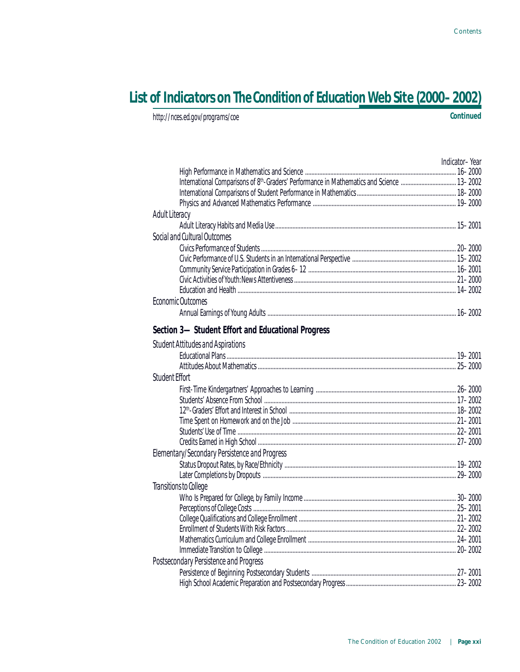*http://nces.ed.gov/programs/coe* **Continued**

|                                                                                                        | Indicator-Year |
|--------------------------------------------------------------------------------------------------------|----------------|
|                                                                                                        |                |
| International Comparisons of 8 <sup>th</sup> -Graders' Performance in Mathematics and Science  13-2002 |                |
|                                                                                                        |                |
|                                                                                                        |                |
| Adult Literacy                                                                                         |                |
|                                                                                                        |                |
| Social and Cultural Outcomes                                                                           |                |
|                                                                                                        |                |
|                                                                                                        |                |
|                                                                                                        |                |
|                                                                                                        |                |
|                                                                                                        |                |
| Economic Outcomes                                                                                      |                |
|                                                                                                        |                |
| Section 3-Student Effort and Educational Progress                                                      |                |
| <b>Student Attitudes and Aspirations</b>                                                               |                |
|                                                                                                        |                |
|                                                                                                        |                |
| Student Effort                                                                                         |                |
|                                                                                                        |                |
|                                                                                                        |                |
|                                                                                                        |                |
|                                                                                                        |                |
|                                                                                                        |                |
|                                                                                                        |                |
| Elementary/Secondary Persistence and Progress                                                          |                |
|                                                                                                        |                |
|                                                                                                        |                |
| Transitions to College                                                                                 |                |
|                                                                                                        |                |
|                                                                                                        |                |
|                                                                                                        |                |
|                                                                                                        |                |
|                                                                                                        |                |
|                                                                                                        |                |
| Postsecondary Persistence and Progress                                                                 |                |
|                                                                                                        |                |
|                                                                                                        |                |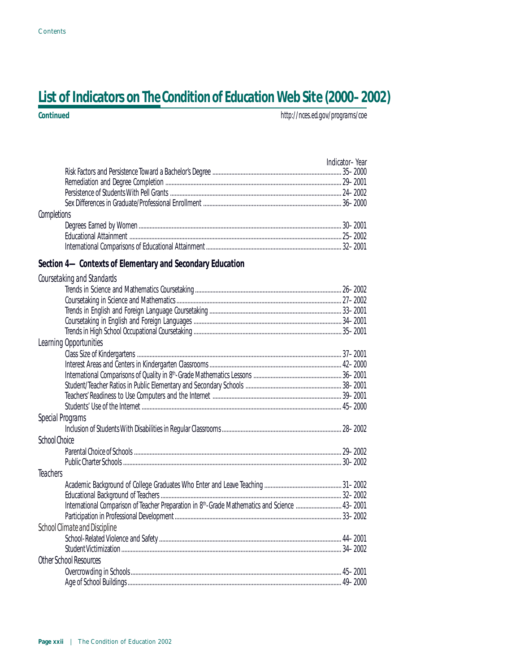| <b>Continued</b> | http://nces.ed.gov/programs/coe |
|------------------|---------------------------------|
|                  |                                 |

|             | Indicator-Year |  |
|-------------|----------------|--|
|             |                |  |
|             |                |  |
|             |                |  |
|             |                |  |
| Completions |                |  |
|             |                |  |
|             |                |  |
|             |                |  |

#### **Section 4—Contexts of Elementary and Secondary Education**

| Coursetaking and Standards                                                                                 |  |
|------------------------------------------------------------------------------------------------------------|--|
|                                                                                                            |  |
|                                                                                                            |  |
|                                                                                                            |  |
|                                                                                                            |  |
|                                                                                                            |  |
| Learning Opportunities                                                                                     |  |
|                                                                                                            |  |
|                                                                                                            |  |
|                                                                                                            |  |
|                                                                                                            |  |
|                                                                                                            |  |
|                                                                                                            |  |
| Special Programs                                                                                           |  |
|                                                                                                            |  |
| School Choice                                                                                              |  |
|                                                                                                            |  |
|                                                                                                            |  |
| <b>Teachers</b>                                                                                            |  |
|                                                                                                            |  |
|                                                                                                            |  |
| International Comparison of Teacher Preparation in 8 <sup>th</sup> -Grade Mathematics and Science  43-2001 |  |
|                                                                                                            |  |
| School Climate and Discipline                                                                              |  |
|                                                                                                            |  |
|                                                                                                            |  |
| Other School Resources                                                                                     |  |
|                                                                                                            |  |
|                                                                                                            |  |